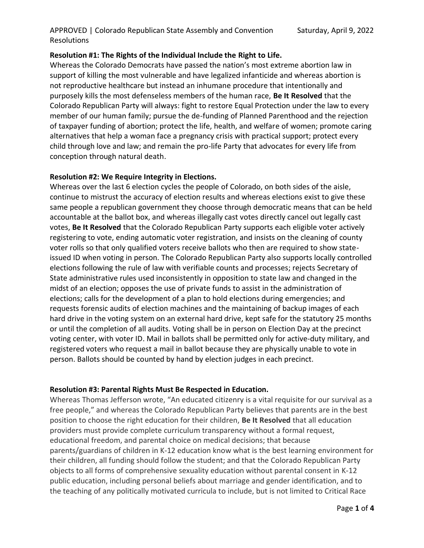# **Resolution #1: The Rights of the Individual Include the Right to Life.**

Whereas the Colorado Democrats have passed the nation's most extreme abortion law in support of killing the most vulnerable and have legalized infanticide and whereas abortion is not reproductive healthcare but instead an inhumane procedure that intentionally and purposely kills the most defenseless members of the human race, **Be It Resolved** that the Colorado Republican Party will always: fight to restore Equal Protection under the law to every member of our human family; pursue the de-funding of Planned Parenthood and the rejection of taxpayer funding of abortion; protect the life, health, and welfare of women; promote caring alternatives that help a woman face a pregnancy crisis with practical support; protect every child through love and law; and remain the pro-life Party that advocates for every life from conception through natural death.

# **Resolution #2: We Require Integrity in Elections.**

Whereas over the last 6 election cycles the people of Colorado, on both sides of the aisle, continue to mistrust the accuracy of election results and whereas elections exist to give these same people a republican government they choose through democratic means that can be held accountable at the ballot box, and whereas illegally cast votes directly cancel out legally cast votes, **Be It Resolved** that the Colorado Republican Party supports each eligible voter actively registering to vote, ending automatic voter registration, and insists on the cleaning of county voter rolls so that only qualified voters receive ballots who then are required to show stateissued ID when voting in person. The Colorado Republican Party also supports locally controlled elections following the rule of law with verifiable counts and processes; rejects Secretary of State administrative rules used inconsistently in opposition to state law and changed in the midst of an election; opposes the use of private funds to assist in the administration of elections; calls for the development of a plan to hold elections during emergencies; and requests forensic audits of election machines and the maintaining of backup images of each hard drive in the voting system on an external hard drive, kept safe for the statutory 25 months or until the completion of all audits. Voting shall be in person on Election Day at the precinct voting center, with voter ID. Mail in ballots shall be permitted only for active-duty military, and registered voters who request a mail in ballot because they are physically unable to vote in person. Ballots should be counted by hand by election judges in each precinct.

### **Resolution #3: Parental Rights Must Be Respected in Education.**

Whereas Thomas Jefferson wrote, "An educated citizenry is a vital requisite for our survival as a free people," and whereas the Colorado Republican Party believes that parents are in the best position to choose the right education for their children, **Be It Resolved** that all education providers must provide complete curriculum transparency without a formal request, educational freedom, and parental choice on medical decisions; that because parents/guardians of children in K-12 education know what is the best learning environment for their children, all funding should follow the student; and that the Colorado Republican Party objects to all forms of comprehensive sexuality education without parental consent in K-12 public education, including personal beliefs about marriage and gender identification, and to the teaching of any politically motivated curricula to include, but is not limited to Critical Race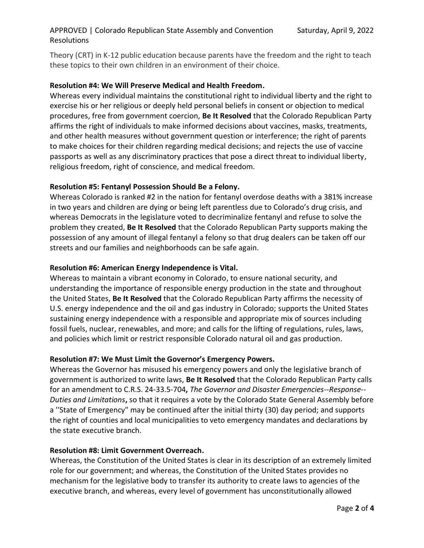Theory (CRT) in K-12 public education because parents have the freedom and the right to teach these topics to their own children in an environment of their choice.

### **Resolution #4: We Will Preserve Medical and Health Freedom.**

Whereas every individual maintains the constitutional right to individual liberty and the right to exercise his or her religious or deeply held personal beliefs in consent or objection to medical procedures, free from government coercion, **Be It Resolved** that the Colorado Republican Party affirms the right of individuals to make informed decisions about vaccines, masks, treatments, and other health measures without government question or interference; the right of parents to make choices for their children regarding medical decisions; and rejects the use of vaccine passports as well as any discriminatory practices that pose a direct threat to individual liberty, religious freedom, right of conscience, and medical freedom.

# **Resolution #5: Fentanyl Possession Should Be a Felony.**

Whereas Colorado is ranked #2 in the nation for fentanyl overdose deaths with a 381% increase in two years and children are dying or being left parentless due to Colorado's drug crisis, and whereas Democrats in the legislature voted to decriminalize fentanyl and refuse to solve the problem they created, **Be It Resolved** that the Colorado Republican Party supports making the possession of any amount of illegal fentanyl a felony so that drug dealers can be taken off our streets and our families and neighborhoods can be safe again.

# **Resolution #6: American Energy Independence is Vital.**

Whereas to maintain a vibrant economy in Colorado, to ensure national security, and understanding the importance of responsible energy production in the state and throughout the United States, **Be It Resolved** that the Colorado Republican Party affirms the necessity of U.S. energy independence and the oil and gas industry in Colorado; supports the United States sustaining energy independence with a responsible and appropriate mix of sources including fossil fuels, nuclear, renewables, and more; and calls for the lifting of regulations, rules, laws, and policies which limit or restrict responsible Colorado natural oil and gas production.

### **Resolution #7: We Must Limit the Governor's Emergency Powers.**

Whereas the Governor has misused his emergency powers and only the legislative branch of government is authorized to write laws, **Be It Resolved** that the Colorado Republican Party calls for an amendment to C.R.S. 24-33.5-704**,** *The Governor and Disaster Emergencies--Response-- Duties and Limitations***,** so that it requires a vote by the Colorado State General Assembly before a ′′State of Emergency" may be continued after the initial thirty (30) day period; and supports the right of counties and local municipalities to veto emergency mandates and declarations by the state executive branch.

### **Resolution #8: Limit Government Overreach.**

Whereas, the Constitution of the United States is clear in its description of an extremely limited role for our government; and whereas, the Constitution of the United States provides no mechanism for the legislative body to transfer its authority to create laws to agencies of the executive branch, and whereas, every level of government has unconstitutionally allowed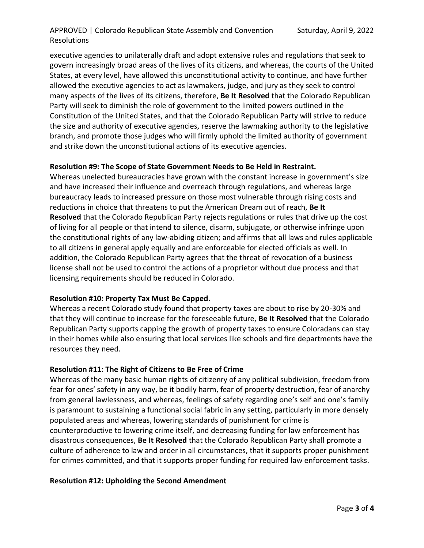executive agencies to unilaterally draft and adopt extensive rules and regulations that seek to govern increasingly broad areas of the lives of its citizens, and whereas, the courts of the United States, at every level, have allowed this unconstitutional activity to continue, and have further allowed the executive agencies to act as lawmakers, judge, and jury as they seek to control many aspects of the lives of its citizens, therefore, **Be It Resolved** that the Colorado Republican Party will seek to diminish the role of government to the limited powers outlined in the Constitution of the United States, and that the Colorado Republican Party will strive to reduce the size and authority of executive agencies, reserve the lawmaking authority to the legislative branch, and promote those judges who will firmly uphold the limited authority of government and strike down the unconstitutional actions of its executive agencies.

#### **Resolution #9: The Scope of State Government Needs to Be Held in Restraint.**

Whereas unelected bureaucracies have grown with the constant increase in government's size and have increased their influence and overreach through regulations, and whereas large bureaucracy leads to increased pressure on those most vulnerable through rising costs and reductions in choice that threatens to put the American Dream out of reach, **Be It Resolved** that the Colorado Republican Party rejects regulations or rules that drive up the cost of living for all people or that intend to silence, disarm, subjugate, or otherwise infringe upon the constitutional rights of any law-abiding citizen; and affirms that all laws and rules applicable to all citizens in general apply equally and are enforceable for elected officials as well. In addition, the Colorado Republican Party agrees that the threat of revocation of a business license shall not be used to control the actions of a proprietor without due process and that licensing requirements should be reduced in Colorado.

### **Resolution #10: Property Tax Must Be Capped.**

Whereas a recent Colorado study found that property taxes are about to rise by 20-30% and that they will continue to increase for the foreseeable future, **Be It Resolved** that the Colorado Republican Party supports capping the growth of property taxes to ensure Coloradans can stay in their homes while also ensuring that local services like schools and fire departments have the resources they need.

### **Resolution #11: The Right of Citizens to Be Free of Crime**

Whereas of the many basic human rights of citizenry of any political subdivision, freedom from fear for ones' safety in any way, be it bodily harm, fear of property destruction, fear of anarchy from general lawlessness, and whereas, feelings of safety regarding one's self and one's family is paramount to sustaining a functional social fabric in any setting, particularly in more densely populated areas and whereas, lowering standards of punishment for crime is counterproductive to lowering crime itself, and decreasing funding for law enforcement has disastrous consequences, **Be It Resolved** that the Colorado Republican Party shall promote a culture of adherence to law and order in all circumstances, that it supports proper punishment for crimes committed, and that it supports proper funding for required law enforcement tasks.

### **Resolution #12: Upholding the Second Amendment**